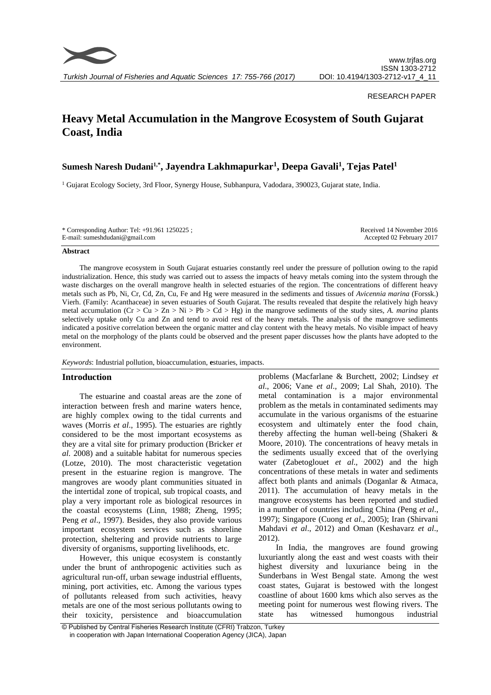

*Turkish Journal of Fisheries and Aquatic Sciences 17: 755-766 (2017)*

# RESEARCH PAPER

# **Heavy Metal Accumulation in the Mangrove Ecosystem of South Gujarat Coast, India**

# **Sumesh Naresh Dudani1,\* , Jayendra Lakhmapurkar<sup>1</sup> , Deepa Gavali<sup>1</sup> , Tejas Patel<sup>1</sup>**

<sup>1</sup> Gujarat Ecology Society, 3rd Floor, Synergy House, Subhanpura, Vadodara, 390023, Gujarat state, India.

| * Corresponding Author: Tel: $+91.961$ 1250225; | Received 14 November 2016 |
|-------------------------------------------------|---------------------------|
| E-mail: sumeshdudani@gmail.com                  | Accepted 02 February 2017 |

#### **Abstract**

The mangrove ecosystem in South Gujarat estuaries constantly reel under the pressure of pollution owing to the rapid industrialization. Hence, this study was carried out to assess the impacts of heavy metals coming into the system through the waste discharges on the overall mangrove health in selected estuaries of the region. The concentrations of different heavy metals such as Pb, Ni, Cr, Cd, Zn, Cu, Fe and Hg were measured in the sediments and tissues of *Avicennia marina* (Forssk.) Vierh. (Family: Acanthaceae) in seven estuaries of South Gujarat. The results revealed that despite the relatively high heavy metal accumulation  $(Cr > Cu > Zn > Ni > Pb > Cd > Hg)$  in the mangrove sediments of the study sites, *A. marina* plants selectively uptake only Cu and Zn and tend to avoid rest of the heavy metals. The analysis of the mangrove sediments indicated a positive correlation between the organic matter and clay content with the heavy metals. No visible impact of heavy metal on the morphology of the plants could be observed and the present paper discusses how the plants have adopted to the environment.

*Keywords*: Industrial pollution, bioaccumulation, **e**stuaries, impacts.

# **Introduction**

The estuarine and coastal areas are the zone of interaction between fresh and marine waters hence, are highly complex owing to the tidal currents and waves (Morris *et al*., 1995). The estuaries are rightly considered to be the most important ecosystems as they are a vital site for primary production (Bricker *et al*. 2008) and a suitable habitat for numerous species (Lotze, 2010). The most characteristic vegetation present in the estuarine region is mangrove. The mangroves are woody plant communities situated in the intertidal zone of tropical, sub tropical coasts, and play a very important role as biological resources in the coastal ecosystems (Linn, 1988; Zheng, 1995; Peng *et al*., 1997). Besides, they also provide various important ecosystem services such as shoreline protection, sheltering and provide nutrients to large diversity of organisms, supporting livelihoods, etc.

However, this unique ecosystem is constantly under the brunt of anthropogenic activities such as agricultural run-off, urban sewage industrial effluents, mining, port activities, etc. Among the various types of pollutants released from such activities, heavy metals are one of the most serious pollutants owing to their toxicity, persistence and bioaccumulation

problems (Macfarlane & Burchett, 2002; Lindsey *et al*., 2006; Vane *et al*., 2009; Lal Shah, 2010). The metal contamination is a major environmental problem as the metals in contaminated sediments may accumulate in the various organisms of the estuarine ecosystem and ultimately enter the food chain, thereby affecting the human well-being (Shakeri & Moore, 2010). The concentrations of heavy metals in the sediments usually exceed that of the overlying water (Zabetoglouet *et al*., 2002) and the high concentrations of these metals in water and sediments affect both plants and animals (Doganlar & Atmaca, 2011). The accumulation of heavy metals in the mangrove ecosystems has been reported and studied in a number of countries including China (Peng *et al*., 1997); Singapore (Cuong *et al*., 2005); Iran (Shirvani Mahdavi *et al*., 2012) and Oman (Keshavarz *et al*., 2012).

In India, the mangroves are found growing luxuriantly along the east and west coasts with their highest diversity and luxuriance being in the Sunderbans in West Bengal state. Among the west coast states, Gujarat is bestowed with the longest coastline of about 1600 kms which also serves as the meeting point for numerous west flowing rivers. The state has witnessed humongous industrial

<sup>©</sup> Published by Central Fisheries Research Institute (CFRI) Trabzon, Turkey in cooperation with Japan International Cooperation Agency (JICA), Japan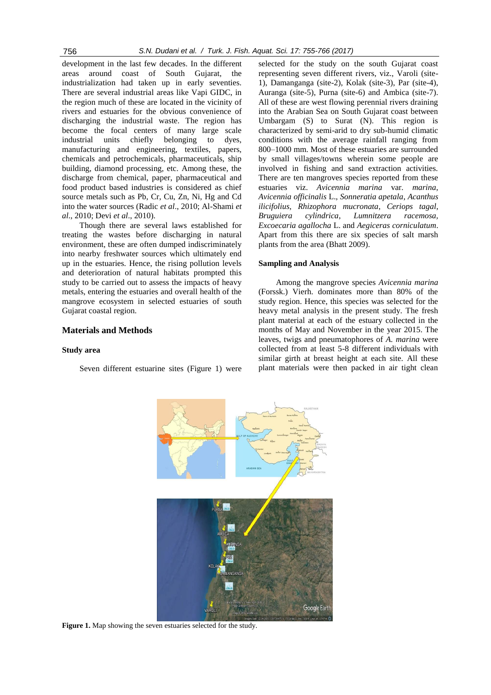development in the last few decades. In the different areas around coast of South Gujarat, the industrialization had taken up in early seventies. There are several industrial areas like Vapi GIDC, in the region much of these are located in the vicinity of rivers and estuaries for the obvious convenience of discharging the industrial waste. The region has become the focal centers of many large scale industrial units chiefly belonging to dyes, manufacturing and engineering, textiles, papers, chemicals and petrochemicals, pharmaceuticals, ship building, diamond processing, etc. Among these, the discharge from chemical, paper, pharmaceutical and food product based industries is considered as chief source metals such as Pb, Cr, Cu, Zn, Ni, Hg and Cd into the water sources (Radic *et al*., 2010; Al-Shami *et al*., 2010; Devi *et al*., 2010).

Though there are several laws established for treating the wastes before discharging in natural environment, these are often dumped indiscriminately into nearby freshwater sources which ultimately end up in the estuaries. Hence, the rising pollution levels and deterioration of natural habitats prompted this study to be carried out to assess the impacts of heavy metals, entering the estuaries and overall health of the mangrove ecosystem in selected estuaries of south Gujarat coastal region.

# **Materials and Methods**

#### **Study area**

Seven different estuarine sites (Figure 1) were

selected for the study on the south Gujarat coast representing seven different rivers, viz., Varoli (site-1), Damanganga (site-2), Kolak (site-3), Par (site-4), Auranga (site-5), Purna (site-6) and Ambica (site-7). All of these are west flowing perennial rivers draining into the Arabian Sea on South Gujarat coast between Umbargam (S) to Surat (N). This region is characterized by semi-arid to dry sub-humid climatic conditions with the average rainfall ranging from 800–1000 mm. Most of these estuaries are surrounded by small villages/towns wherein some people are involved in fishing and sand extraction activities. There are ten mangroves species reported from these estuaries viz. *Avicennia marina* var*. marina*, *Avicennia officinalis* L., *Sonneratia apetala*, *Acanthus ilicifolius*, *Rhizophora mucronata*, *Ceriops tagal*, *Bruguiera cylindrica*, *Lumnitzera racemosa, Excoecaria agallocha* L. and *Aegiceras corniculatum*. Apart from this there are six species of salt marsh plants from the area (Bhatt 2009).

#### **Sampling and Analysis**

Among the mangrove species *Avicennia marina* (Forssk.) Vierh. dominates more than 80% of the study region. Hence, this species was selected for the heavy metal analysis in the present study. The fresh plant material at each of the estuary collected in the months of May and November in the year 2015. The leaves, twigs and pneumatophores of *A. marina* were collected from at least 5-8 different individuals with similar girth at breast height at each site. All these plant materials were then packed in air tight clean



**Figure 1.** Map showing the seven estuaries selected for the study.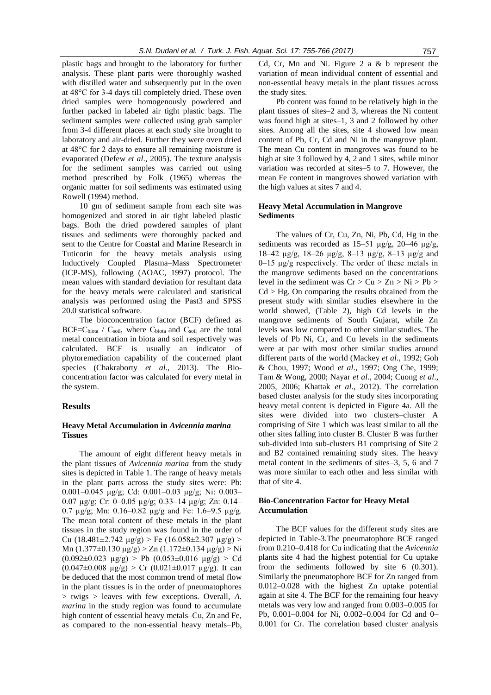plastic bags and brought to the laboratory for further analysis. These plant parts were thoroughly washed with distilled water and subsequently put in the oven at 48°C for 3-4 days till completely dried. These oven dried samples were homogenously powdered and further packed in labeled air tight plastic bags. The sediment samples were collected using grab sampler from 3-4 different places at each study site brought to laboratory and air-dried. Further they were oven dried at 48°C for 2 days to ensure all remaining moisture is evaporated (Defew *et al*., 2005). The texture analysis for the sediment samples was carried out using method prescribed by Folk (1965) whereas the organic matter for soil sediments was estimated using Rowell (1994) method.

10 gm of sediment sample from each site was homogenized and stored in air tight labeled plastic bags. Both the dried powdered samples of plant tissues and sediments were thoroughly packed and sent to the Centre for Coastal and Marine Research in Tuticorin for the heavy metals analysis using Inductively Coupled Plasma–Mass Spectrometer (ICP-MS), following (AOAC, 1997) protocol. The mean values with standard deviation for resultant data for the heavy metals were calculated and statistical analysis was performed using the Past3 and SPSS 20.0 statistical software.

The bioconcentration factor (BCF) defined as  $BCF=C<sub>biota</sub> / C<sub>soil</sub>$ , where  $C<sub>biota</sub>$  and  $C<sub>soil</sub>$  are the total metal concentration in biota and soil respectively was calculated. BCF is usually an indicator of phytoremediation capability of the concerned plant species (Chakraborty *et al*., 2013). The Bioconcentration factor was calculated for every metal in the system.

#### **Results**

#### **Heavy Metal Accumulation in** *Avicennia marina* **Tissues**

The amount of eight different heavy metals in the plant tissues of *Avicennia marina* from the study sites is depicted in Table 1. The range of heavy metals in the plant parts across the study sites were: Pb: 0.001–0.045 µg/g; Cd: 0.001–0.03 µg/g; Ni: 0.003– 0.07 µg/g; Cr: 0–0.05 µg/g; 0.33–14 µg/g; Zn: 0.14– 0.7 µg/g; Mn: 0.16–0.82 µg/g and Fe: 1.6–9.5 µg/g. The mean total content of these metals in the plant tissues in the study region was found in the order of Cu  $(18.481\pm2.742 \text{ }\mu\text{g/g})$  > Fe  $(16.058\pm2.307 \text{ }\mu\text{g/g})$  > Mn  $(1.377\pm0.130 \text{ }\mu\text{g/g}) > Zn (1.172\pm0.134 \text{ }\mu\text{g/g}) > Ni$  $(0.092\pm0.023 \text{ }\mu\text{g/g})$  > Pb  $(0.053\pm0.016 \text{ }\mu\text{g/g})$  > Cd  $(0.047\pm0.008 \text{ µg/g}) > \text{Cr} (0.021\pm0.017 \text{ µg/g}).$  It can be deduced that the most common trend of metal flow in the plant tissues is in the order of pneumatophores > twigs > leaves with few exceptions. Overall, *A. marina* in the study region was found to accumulate high content of essential heavy metals–Cu, Zn and Fe, as compared to the non-essential heavy metals–Pb, Cd, Cr, Mn and Ni. Figure 2 a & b represent the variation of mean individual content of essential and non-essential heavy metals in the plant tissues across the study sites.

Pb content was found to be relatively high in the plant tissues of sites–2 and 3, whereas the Ni content was found high at sites–1, 3 and 2 followed by other sites. Among all the sites, site 4 showed low mean content of Pb, Cr, Cd and Ni in the mangrove plant. The mean Cu content in mangroves was found to be high at site 3 followed by 4, 2 and 1 sites, while minor variation was recorded at sites–5 to 7. However, the mean Fe content in mangroves showed variation with the high values at sites 7 and 4.

### **Heavy Metal Accumulation in Mangrove Sediments**

The values of Cr, Cu, Zn, Ni, Pb, Cd, Hg in the sediments was recorded as  $15-51 \mu g/g$ ,  $20-46 \mu g/g$ , 18–42 µg/g, 18–26 µg/g, 8–13 µg/g, 8–13 µg/g and  $0-15 \mu g/g$  respectively. The order of these metals in the mangrove sediments based on the concentrations level in the sediment was  $Cr > Cu > Zn > Ni > Pb >$  $Cd > Hg$ . On comparing the results obtained from the present study with similar studies elsewhere in the world showed, (Table 2), high Cd levels in the mangrove sediments of South Gujarat, while Zn levels was low compared to other similar studies. The levels of Pb Ni, Cr, and Cu levels in the sediments were at par with most other similar studies around different parts of the world (Mackey *et al*., 1992; Goh & Chou, 1997; Wood *et al*., 1997; Ong Che, 1999; Tam & Wong, 2000; Nayar *et al*., 2004; Cuong *et al*., 2005, 2006; Khattak *et al*., 2012). The correlation based cluster analysis for the study sites incorporating heavy metal content is depicted in Figure 4a. All the sites were divided into two clusters–cluster A comprising of Site 1 which was least similar to all the other sites falling into cluster B. Cluster B was further sub-divided into sub-clusters B1 comprising of Site 2 and B2 contained remaining study sites. The heavy metal content in the sediments of sites–3, 5, 6 and 7 was more similar to each other and less similar with that of site 4.

## **Bio-Concentration Factor for Heavy Metal Accumulation**

The BCF values for the different study sites are depicted in Table-3.The pneumatophore BCF ranged from 0.210–0.418 for Cu indicating that the *Avicennia* plants site 4 had the highest potential for Cu uptake from the sediments followed by site 6 (0.301). Similarly the pneumatophore BCF for Zn ranged from 0.012–0.028 with the highest Zn uptake potential again at site 4. The BCF for the remaining four heavy metals was very low and ranged from 0.003–0.005 for Pb, 0.001–0.004 for Ni, 0.002–0.004 for Cd and 0– 0.001 for Cr. The correlation based cluster analysis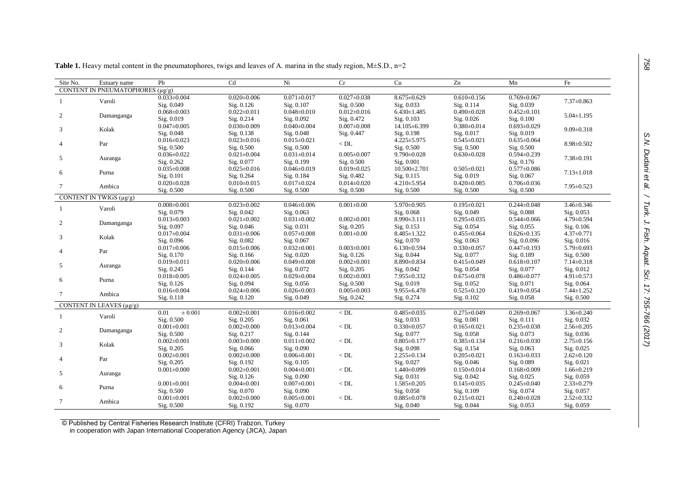| Site No.                         | Estuary name                  | Pb                  | Cd                | Ni                | $\overline{\text{Cr}}$ | Cu                | Zn                | Mn                | Fe               |
|----------------------------------|-------------------------------|---------------------|-------------------|-------------------|------------------------|-------------------|-------------------|-------------------|------------------|
| CONTENT IN PNEUMATOPHORES (µg/g) |                               |                     |                   |                   |                        |                   |                   |                   |                  |
|                                  |                               | $0.033 \pm 0.004$   | $0.020 \pm 0.006$ | $0.071 \pm 0.017$ | $0.027 \pm 0.038$      | 8.675±0.629       | $0.610 \pm 0.156$ | $0.769 \pm 0.067$ |                  |
|                                  | Varoli                        | Sig. 0.049          | Sig. 0.126        | Sig. 0.107        | Sig. 0.500             | Sig. 0.033        | Sig. 0.114        | Sig. 0.039        | 7.37±0.863       |
| 2                                |                               | $0.068 \pm 0.003$   | $0.022 \pm 0.011$ | $0.048 \pm 0.010$ | $0.012 \pm 0.016$      | $6.430 \pm 1.485$ | $0.490 \pm 0.028$ | $0.452 \pm 0.101$ |                  |
|                                  | Damanganga                    | Sig. 0.019          | Sig. 0.214        | Sig. 0.092        | Sig. 0.472             | Sig. 0.103        | Sig. 0.026        | Sig. 0.100        | $5.04 \pm 1.195$ |
|                                  | Kolak                         | $0.047 \pm 0.005$   | $0.030 \pm 0.009$ | $0.040 \pm 0.004$ | $0.007 \pm 0.008$      | 14.105 ± 6.399    | $0.380 \pm 0.014$ | $0.693 \pm 0.029$ | $9.09 \pm 0.318$ |
| 3                                |                               | Sig. 0.048          | Sig. 0.138        | Sig. 0.048        | Sig. 0.447             | Sig. 0.198        | Sig. 0.017        | Sig. 0.019        |                  |
|                                  |                               | $0.016 \pm 0.023$   | $0.023 \pm 0.016$ | $0.015 \pm 0.021$ |                        | 4.225±5.975       | $0.545 \pm 0.021$ | $0.635 \pm 0.064$ |                  |
|                                  | Par                           | Sig. 0.500          | Sig. 0.500        | Sig. 0.500        | $<$ DL $\,$            | Sig. 0.500        | Sig. 0.500        | Sig. 0.500        | $8.98 \pm 0.502$ |
| 5                                |                               | $0.036 \pm 0.022$   | $0.021 \pm 0.004$ | $0.031 \pm 0.014$ | $0.005 \pm 0.007$      | $9.790 \pm 0.028$ | $0.630 \pm 0.028$ | $0.594 \pm 0.239$ | 7.38±0.191       |
|                                  | Auranga                       | Sig. 0.262          | Sig. 0.077        | Sig. 0.199        | Sig. 0.500             | Sig. 0.001        |                   | Sig. 0.176        |                  |
|                                  | Purna                         | $0.035 \pm 0.008$   | $0.025 \pm 0.016$ | $0.046 \pm 0.019$ | $0.019 \pm 0.025$      | 10.500±2.701      | $0.505 \pm 0.021$ | $0.577 \pm 0.086$ | $7.13 \pm 1.018$ |
| 6                                |                               | Sig. 0.101          | Sig. 0.264        | Sig. 0.184        | Sig. 0.482             | Sig. 0.115        | Sig. 0.019        | Sig. 0.067        |                  |
| $7\phantom{.0}$                  | Ambica                        | $0.020 \pm 0.028$   | $0.010 \pm 0.015$ | $0.017 \pm 0.024$ | $0.014 \pm 0.020$      | 4.210±5.954       | $0.420 \pm 0.085$ | $0.706 \pm 0.036$ | 7.95±0.523       |
|                                  |                               | Sig. 0.500          | Sig. 0.500        | Sig. 0.500        | Sig. 0.500             | Sig. 0.500        | Sig. 0.500        | Sig. 0.500        |                  |
|                                  | CONTENT IN TWIGS $(\mu g/g)$  |                     |                   |                   |                        |                   |                   |                   |                  |
| $\mathbf{1}$                     | Varoli                        | $0.008 \pm 0.001$   | $0.023 \pm 0.002$ | $0.046 \pm 0.006$ | $0.001 \pm 0.00$       | 5.970±0.905       | $0.195 \pm 0.021$ | $0.244 \pm 0.048$ | 3.46±0.346       |
|                                  |                               | Sig. 0.079          | Sig. 0.042        | Sig. 0.063        |                        | Sig. 0.068        | Sig. 0.049        | Sig. 0.088        | Sig. 0.053       |
| $\overline{2}$                   | Damanganga                    | $0.013 \pm 0.003$   | $0.021 \pm 0.002$ | $0.031 \pm 0.002$ | $0.002 \pm 0.001$      | $8.990 \pm 3.111$ | $0.295 \pm 0.035$ | $0.544 \pm 0.066$ | $4.79 \pm 0.594$ |
|                                  |                               | Sig. 0.097          | Sig. 0.046        | Sig. 0.031        | Sig. 0.205             | Sig. 0.153        | Sig. 0.054        | Sig. 0.055        | Sig. 0.106       |
| 3                                | Kolak                         | $0.017 \pm 0.004$   | $0.031 \pm 0.006$ | $0.057 \pm 0.008$ | $0.001 \pm 0.00$       | 8.485±1.322       | $0.455 \pm 0.064$ | $0.626 \pm 0.135$ | $4.37 \pm 0.771$ |
|                                  |                               | Sig. 0.096          | Sig. 0.082        | Sig. 0.067        |                        | Sig. 0.070        | Sig. 0.063        | Sig. 0.0.096      | Sig. 0.016       |
| 4                                | Par                           | $0.017 \pm 0.006$   | $0.015 \pm 0.006$ | $0.032 \pm 0.001$ | $0.003 \pm 0.001$      | $6.130\pm0.594$   | $0.330\pm0.057$   | $0.447 \pm 0.193$ | 5.79±0.693       |
|                                  |                               | Sig. 0.170          | Sig. 0.166        | Sig. 0.020        | Sig. 0.126             | Sig. 0.044        | Sig. 0.077        | Sig. 0.189        | Sig. 0.500       |
| 5                                | Auranga                       | $0.019 \pm 0.011$   | $0.020 \pm 0.006$ | $0.049 \pm 0.008$ | $0.002 \pm 0.001$      | 8.890±0.834       | $0.415 \pm 0.049$ | $0.618 \pm 0.107$ | $7.14 \pm 0.318$ |
|                                  |                               | Sig. 0.245          | Sig. 0.144        | Sig. 0.072        | Sig. 0.205             | Sig. 0.042        | Sig. 0.054        | Sig. 0.077        | Sig. 0.012       |
| 6                                | Purna                         | $0.018 \pm 0.005$   | $0.024 \pm 0.005$ | $0.029 \pm 0.004$ | $0.002 \pm 0.003$      | 7.955±0.332       | $0.675 \pm 0.078$ | $0.486 \pm 0.077$ | $4.91 \pm 0.573$ |
|                                  |                               | Sig. 0.126          | Sig. 0.094        | Sig. 0.056        | Sig. 0.500             | Sig. 0.019        | Sig. 0.052        | Sig. 0.071        | Sig. 0.064       |
| 7                                | Ambica                        | $0.016 \pm 0.004$   | $0.024 \pm 0.006$ | $0.026 \pm 0.003$ | $0.005 \pm 0.003$      | 9.955±6.470       | $0.525 \pm 0.120$ | $0.419 \pm 0.054$ | 7.44±1.252       |
|                                  |                               | Sig. 0.118          | Sig. 0.120        | Sig. 0.049        | Sig. 0.242             | Sig. 0.274        | Sig. 0.102        | Sig. 0.058        | Sig. 0.500       |
|                                  | CONTENT IN LEAVES $(\mu g/g)$ |                     |                   |                   |                        |                   |                   |                   |                  |
| -1                               | Varoli                        | $\pm$ 0.001<br>0.01 | $0.002 \pm 0.001$ | $0.016 \pm 0.002$ | $<$ DL $\,$            | $0.485 \pm 0.035$ | $0.275 \pm 0.049$ | $0.269 \pm 0.067$ | $3.36 \pm 0.240$ |
|                                  |                               | Sig. 0.500          | Sig. 0.205        | Sig. 0.061        |                        | Sig. 0.033        | Sig. 0.081        | Sig. 0.111        | Sig. 0.032       |
| 2                                | Damanganga                    | $0.001 \pm 0.001$   | $0.002 \pm 0.000$ | $0.013 \pm 0.004$ | $<$ DL $\,$            | $0.330 \pm 0.057$ | $0.165 \pm 0.021$ | $0.235 \pm 0.038$ | $2.56 \pm 0.205$ |
|                                  |                               | Sig. 0.500          | Sig. 0.217        | Sig. 0.144        |                        | Sig. 0.077        | Sig. 0.058        | Sig. 0.073        | Sig. 0.036       |
| 3                                | Kolak                         | $0.002 \pm 0.001$   | $0.003 \pm 0.000$ | $0.011 \pm 0.002$ | $<$ DL $\,$            | $0.805 \pm 0.177$ | $0.385 \pm 0.134$ | $0.216 \pm 0.030$ | $2.75 \pm 0.156$ |
|                                  |                               | Sig. 0.205          | Sig. 0.066        | Sig. 0.090        |                        | Sig. 0.098        | Sig. 0.154        | Sig. 0.063        | Sig. 0.025       |
| 4                                | Par                           | $0.002 \pm 0.001$   | $0.002 \pm 0.000$ | $0.006 \pm 0.001$ | $<$ DL $\,$            | 2.255±0.134       | $0.205 \pm 0.021$ | $0.163 \pm 0.033$ | $2.62 \pm 0.120$ |
|                                  |                               | Sig. 0.205          | Sig. 0.192        | Sig. 0.105        |                        | Sig. 0.027        | Sig. 0.046        | Sig. 0.089        | Sig. 0.021       |
| 5                                | Auranga                       | $0.001 \pm 0.000$   | $0.002 \pm 0.001$ | $0.004 \pm 0.001$ | $<$ DL $\,$            | $1.440\pm0.099$   | $0.150 \pm 0.014$ | $0.168 \pm 0.009$ | $1.66 \pm 0.219$ |
|                                  |                               |                     | Sig. 0.126        | Sig. 0.090        |                        | Sig. 0.031        | Sig. 0.042        | Sig. 0.025        | Sig. 0.059       |
| 6                                | Purna                         | $0.001 \pm 0.001$   | $0.004 \pm 0.001$ | $0.007 \pm 0.001$ | $<$ DL $\,$            | $1.585 \pm 0.205$ | $0.145 \pm 0.035$ | $0.245 \pm 0.040$ | $2.33 \pm 0.279$ |
|                                  |                               | Sig. 0.500          | Sig. 0.070        | Sig. 0.090        |                        | Sig. 0.058        | Sig. 0.109        | Sig. 0.074        | Sig. 0.057       |
| $7\phantom{.0}$                  | Ambica                        | $0.001 \pm 0.001$   | $0.002 \pm 0.000$ | $0.005 \pm 0.001$ | $<$ DL $\,$            | $0.885 \pm 0.078$ | $0.215 \pm 0.021$ | $0.240 \pm 0.028$ | $2.52 \pm 0.332$ |
|                                  |                               | Sig. 0.500          | Sig. 0.192        | Sig. 0.070        |                        | Sig. 0.040        | Sig. 0.044        | Sig. 0.053        | Sig. 0.059       |

Table 1. Heavy metal content in the pneumatophores, twigs and leaves of A. marina in the study region, M±S.D., n=2

© Published by Central Fisheries Research Institute (CFRI) Trabzon, Turkey

in cooperation with Japan International Cooperation Agency (JICA), Japan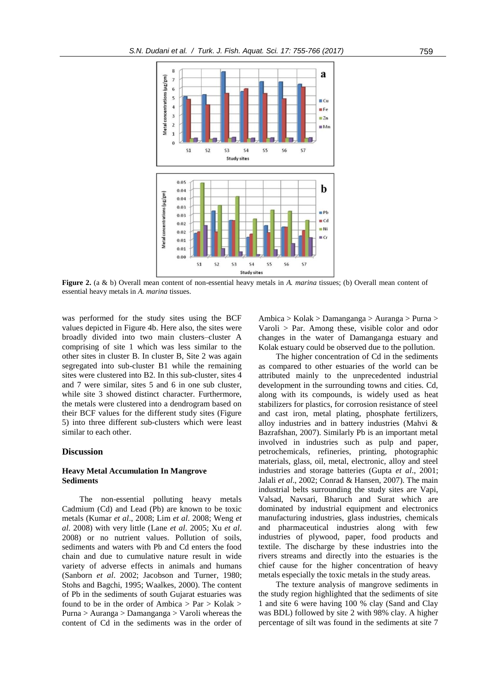

**Figure 2.** (a & b) Overall mean content of non-essential heavy metals in *A. marina* tissues; (b) Overall mean content of essential heavy metals in *A. marina* tissues.

was performed for the study sites using the BCF values depicted in Figure 4b. Here also, the sites were broadly divided into two main clusters–cluster A comprising of site 1 which was less similar to the other sites in cluster B. In cluster B, Site 2 was again segregated into sub-cluster B1 while the remaining sites were clustered into B2. In this sub-cluster, sites 4 and 7 were similar, sites 5 and 6 in one sub cluster, while site 3 showed distinct character. Furthermore, the metals were clustered into a dendrogram based on their BCF values for the different study sites (Figure 5) into three different sub-clusters which were least similar to each other.

# **Discussion**

#### **Heavy Metal Accumulation In Mangrove Sediments**

The non-essential polluting heavy metals Cadmium (Cd) and Lead (Pb) are known to be toxic metals (Kumar *et al*., 2008; Lim *et al*. 2008; Weng *et al*. 2008) with very little (Lane *et al*. 2005; Xu *et al*. 2008) or no nutrient values. Pollution of soils, sediments and waters with Pb and Cd enters the food chain and due to cumulative nature result in wide variety of adverse effects in animals and humans (Sanborn *et al*. 2002; Jacobson and Turner, 1980; Stohs and Bagchi, 1995; Waalkes, 2000). The content of Pb in the sediments of south Gujarat estuaries was found to be in the order of Ambica  $>$  Par  $>$  Kolak  $>$ Purna > Auranga > Damanganga > Varoli whereas the content of Cd in the sediments was in the order of Ambica > Kolak > Damanganga > Auranga > Purna > Varoli > Par. Among these, visible color and odor changes in the water of Damanganga estuary and Kolak estuary could be observed due to the pollution.

The higher concentration of Cd in the sediments as compared to other estuaries of the world can be attributed mainly to the unprecedented industrial development in the surrounding towns and cities. Cd, along with its compounds, is widely used as heat stabilizers for plastics, for corrosion resistance of steel and cast iron, metal plating, phosphate fertilizers, alloy industries and in battery industries (Mahvi & Bazrafshan, 2007). Similarly Pb is an important metal involved in industries such as pulp and paper, petrochemicals, refineries, printing, photographic materials, glass, oil, metal, electronic, alloy and steel industries and storage batteries (Gupta *et al*., 2001; Jalali *et al*., 2002; Conrad & Hansen, 2007). The main industrial belts surrounding the study sites are Vapi, Valsad, Navsari, Bharuch and Surat which are dominated by industrial equipment and electronics manufacturing industries, glass industries, chemicals and pharmaceutical industries along with few industries of plywood, paper, food products and textile. The discharge by these industries into the rivers streams and directly into the estuaries is the chief cause for the higher concentration of heavy metals especially the toxic metals in the study areas.

The texture analysis of mangrove sediments in the study region highlighted that the sediments of site 1 and site 6 were having 100 % clay (Sand and Clay was BDL) followed by site 2 with 98% clay. A higher percentage of silt was found in the sediments at site 7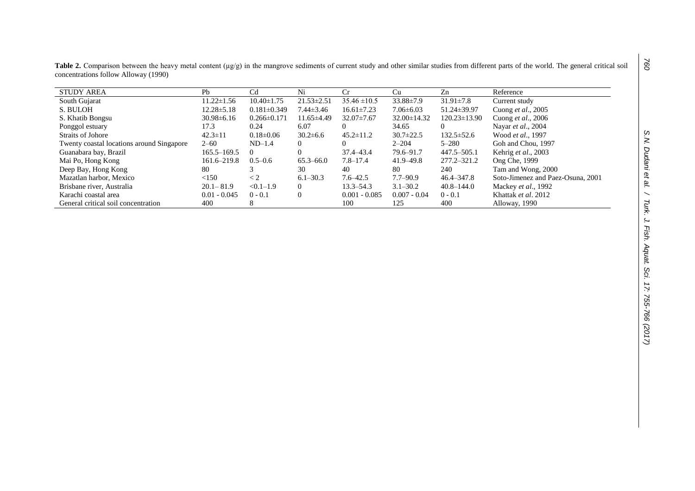Table 2. Comparison between the heavy metal content (µg/g) in the mangrove sediments of current study and other similar studies from different parts of the world. The general critical soil concentrations follow Alloway (1990)

| <b>STUDY AREA</b>                         | Pb               | C <sub>d</sub>    | Ni               | Cr               | Cu                | Zn                 | Reference                         |
|-------------------------------------------|------------------|-------------------|------------------|------------------|-------------------|--------------------|-----------------------------------|
| South Gujarat                             | $11.22 \pm 1.56$ | $10.40 \pm 1.75$  | $21.53 \pm 2.51$ | $35.46 \pm 10.5$ | $33.88 \pm 7.9$   | $31.91 \pm 7.8$    | Current study                     |
| S. BULOH                                  | $12.28 \pm 5.18$ | $0.181 \pm 0.349$ | $7.44\pm3.46$    | $16.61 \pm 7.23$ | $7.06 \pm 6.03$   | $51.24 \pm 39.97$  | Cuong et al., 2005                |
| S. Khatib Bongsu                          | $30.98 \pm 6.16$ | $0.266 \pm 0.171$ | $11.65\pm4.49$   | $32.07 \pm 7.67$ | $32.00 \pm 14.32$ | $120.23 \pm 13.90$ | Cuong et al., 2006                |
| Ponggol estuary                           | 17.3             | 0.24              | 6.07             | 0                | 34.65             | $\Omega$           | Nayar <i>et al.</i> , 2004        |
| Straits of Johore                         | $42.3 \pm 11$    | $0.18 \pm 0.06$   | $30.2 \pm 6.6$   | $45.2 \pm 11.2$  | $30.7 \pm 22.5$   | $132.5 \pm 52.6$   | Wood et al., 1997                 |
| Twenty coastal locations around Singapore | $2 - 60$         | $ND-1.4$          | $\Omega$         | 0                | $2 - 204$         | $5 - 280$          | Goh and Chou, 1997                |
| Guanabara bay, Brazil                     | 165.5-169.5      | $\Omega$          | $\Omega$         | $37.4 - 43.4$    | 79.6–91.7         | 447.5-505.1        | Kehrig et al., 2003               |
| Mai Po, Hong Kong                         | 161.6-219.8      | $0.5 - 0.6$       | $65.3 - 66.0$    | $7.8 - 17.4$     | $41.9 - 49.8$     | 277.2-321.2        | Ong Che, 1999                     |
| Deep Bay, Hong Kong                       | 80               |                   | 30               | 40               | 80                | 240                | Tam and Wong, 2000                |
| Mazatlan harbor, Mexico                   | <150             | $\lt 2$           | $6.1 - 30.3$     | $7.6 - 42.5$     | $7.7 - 90.9$      | $46.4 - 347.8$     | Soto-Jimenez and Paez-Osuna, 2001 |
| Brisbane river, Australia                 | $20.1 - 81.9$    | $< 0.1 - 1.9$     | $\Omega$         | $13.3 - 54.3$    | $3.1 - 30.2$      | $40.8 - 144.0$     | Mackey <i>et al.</i> , 1992       |
| Karachi coastal area                      | $0.01 - 0.045$   | $0 - 0.1$         | $\Omega$         | $0.001 - 0.085$  | $0.007 - 0.04$    | $0 - 0.1$          | Khattak et al. 2012               |
| General critical soil concentration       | 400              | 8                 |                  | 100              | 125               | 400                | Alloway, 1990                     |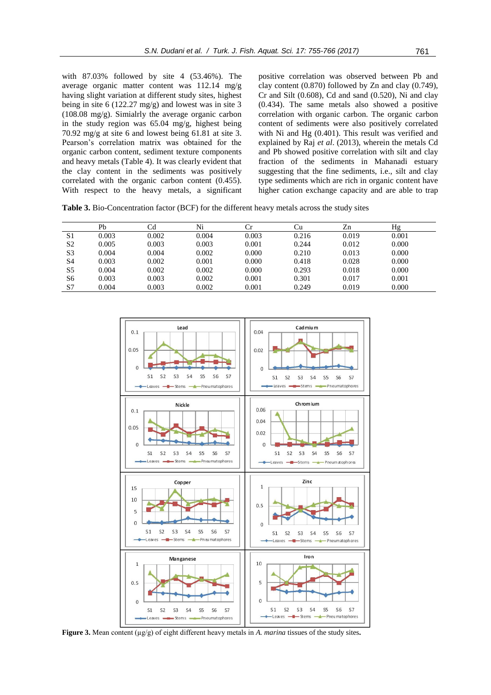with 87.03% followed by site 4 (53.46%). The average organic matter content was 112.14 mg/g having slight variation at different study sites, highest being in site 6 (122.27 mg/g) and lowest was in site 3 (108.08 mg/g). Simialrly the average organic carbon in the study region was 65.04 mg/g, highest being 70.92 mg/g at site 6 and lowest being 61.81 at site 3. Pearson's correlation matrix was obtained for the organic carbon content, sediment texture components and heavy metals (Table 4). It was clearly evident that the clay content in the sediments was positively correlated with the organic carbon content (0.455). With respect to the heavy metals, a significant positive correlation was observed between Pb and clay content (0.870) followed by Zn and clay (0.749), Cr and Silt (0.608), Cd and sand (0.520), Ni and clay (0.434). The same metals also showed a positive correlation with organic carbon. The organic carbon content of sediments were also positively correlated with Ni and Hg (0.401). This result was verified and explained by Raj *et al*. (2013), wherein the metals Cd and Pb showed positive correlation with silt and clay fraction of the sediments in Mahanadi estuary suggesting that the fine sediments, i.e., silt and clay type sediments which are rich in organic content have higher cation exchange capacity and are able to trap

**Table 3.** Bio-Concentration factor (BCF) for the different heavy metals across the study sites

|                | Pb    | Cd    | Ni    | €r    | Сu    | Zn    | Hg    |
|----------------|-------|-------|-------|-------|-------|-------|-------|
| S1             | 0.003 | 0.002 | 0.004 | 0.003 | 0.216 | 0.019 | 0.001 |
| S <sub>2</sub> | 0.005 | 0.003 | 0.003 | 0.001 | 0.244 | 0.012 | 0.000 |
| S <sub>3</sub> | 0.004 | 0.004 | 0.002 | 0.000 | 0.210 | 0.013 | 0.000 |
| S <sub>4</sub> | 0.003 | 0.002 | 0.001 | 0.000 | 0.418 | 0.028 | 0.000 |
| S <sub>5</sub> | 0.004 | 0.002 | 0.002 | 0.000 | 0.293 | 0.018 | 0.000 |
| S6             | 0.003 | 0.003 | 0.002 | 0.001 | 0.301 | 0.017 | 0.001 |
| S7             | 0.004 | 0.003 | 0.002 | 0.001 | 0.249 | 0.019 | 0.000 |



**Figure 3.** Mean content  $(\mu g/g)$  of eight different heavy metals in *A. marina* tissues of the study sites.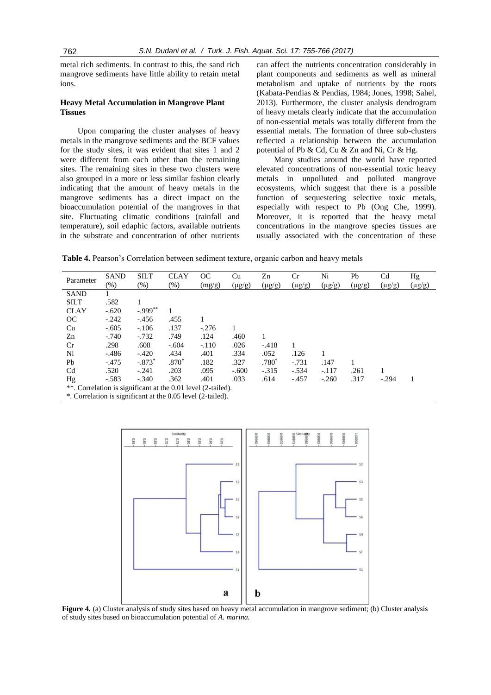metal rich sediments. In contrast to this, the sand rich mangrove sediments have little ability to retain metal ions.

# **Heavy Metal Accumulation in Mangrove Plant Tissues**

Upon comparing the cluster analyses of heavy metals in the mangrove sediments and the BCF values for the study sites, it was evident that sites 1 and 2 were different from each other than the remaining sites. The remaining sites in these two clusters were also grouped in a more or less similar fashion clearly indicating that the amount of heavy metals in the mangrove sediments has a direct impact on the bioaccumulation potential of the mangroves in that site. Fluctuating climatic conditions (rainfall and temperature), soil edaphic factors, available nutrients in the substrate and concentration of other nutrients

can affect the nutrients concentration considerably in plant components and sediments as well as mineral metabolism and uptake of nutrients by the roots (Kabata-Pendias & Pendias, 1984; Jones, 1998; Sahel, 2013). Furthermore, the cluster analysis dendrogram of heavy metals clearly indicate that the accumulation of non-essential metals was totally different from the essential metals. The formation of three sub-clusters reflected a relationship between the accumulation potential of Pb & Cd, Cu & Zn and Ni, Cr & Hg.

Many studies around the world have reported elevated concentrations of non-essential toxic heavy metals in unpolluted and polluted mangrove ecosystems, which suggest that there is a possible function of sequestering selective toxic metals, especially with respect to Pb (Ong Che, 1999). Moreover, it is reported that the heavy metal concentrations in the mangrove species tissues are usually associated with the concentration of these

**Table 4.** Pearson's Correlation between sediment texture, organic carbon and heavy metals

| Parameter                                                    | <b>SAND</b> | <b>SILT</b> | <b>CLAY</b> | OС      | Cu          | Zn          | Cr          | Ni          | Pb          | Cd          | Hg          |
|--------------------------------------------------------------|-------------|-------------|-------------|---------|-------------|-------------|-------------|-------------|-------------|-------------|-------------|
|                                                              | $(\%)$      | $(\% )$     | (% )        | (mg/g)  | $(\mu g/g)$ | $(\mu g/g)$ | $(\mu g/g)$ | $(\mu g/g)$ | $(\mu g/g)$ | $(\mu g/g)$ | $(\mu g/g)$ |
| <b>SAND</b>                                                  |             |             |             |         |             |             |             |             |             |             |             |
| <b>SILT</b>                                                  | .582        |             |             |         |             |             |             |             |             |             |             |
| <b>CLAY</b>                                                  | $-.620$     | $-.999**$   |             |         |             |             |             |             |             |             |             |
| OC                                                           | $-.242$     | $-456$      | .455        |         |             |             |             |             |             |             |             |
| Cu                                                           | $-.605$     | $-.106$     | .137        | $-.276$ |             |             |             |             |             |             |             |
| Zn                                                           | $-.740$     | $-.732$     | .749        | .124    | .460        |             |             |             |             |             |             |
| Cr                                                           | .298        | .608        | $-.604$     | $-.110$ | .026        | $-.418$     |             |             |             |             |             |
| Ni                                                           | $-.486$     | $-.420$     | .434        | .401    | .334        | .052        | .126        |             |             |             |             |
| Pb                                                           | $-.475$     | $-.873*$    | $.870*$     | .182    | .327        | $.780*$     | $-.731$     | .147        |             |             |             |
| C <sub>d</sub>                                               | .520        | $-.241$     | .203        | .095    | $-.600$     | $-.315$     | $-.534$     | $-.117$     | .261        |             |             |
| Hg                                                           | $-.583$     | $-.340$     | .362        | .401    | .033        | .614        | $-.457$     | $-.260$     | .317        | $-.294$     | л.          |
| **. Correlation is significant at the 0.01 level (2-tailed). |             |             |             |         |             |             |             |             |             |             |             |
|                                                              |             |             |             |         |             |             |             |             |             |             |             |

\*. Correlation is significant at the 0.05 level (2-tailed).



**Figure 4.** (a) Cluster analysis of study sites based on heavy metal accumulation in mangrove sediment; (b) Cluster analysis of study sites based on bioaccumulation potential of *A. marina.*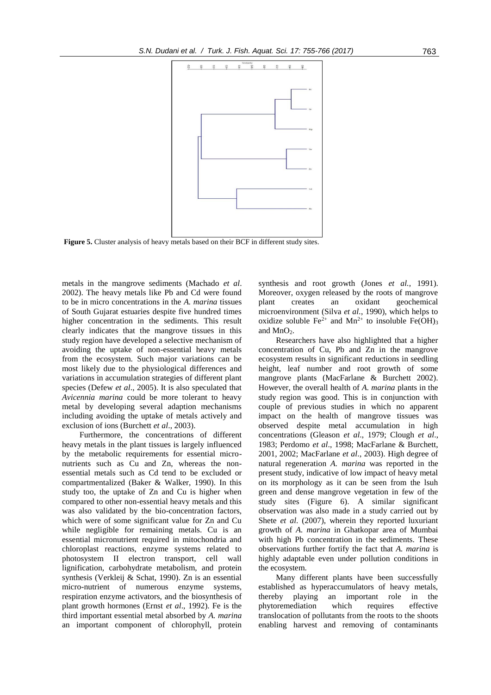

Figure 5. Cluster analysis of heavy metals based on their BCF in different study sites.

metals in the mangrove sediments (Machado *et al*. 2002). The heavy metals like Pb and Cd were found to be in micro concentrations in the *A. marina* tissues of South Gujarat estuaries despite five hundred times higher concentration in the sediments. This result clearly indicates that the mangrove tissues in this study region have developed a selective mechanism of avoiding the uptake of non-essential heavy metals from the ecosystem. Such major variations can be most likely due to the physiological differences and variations in accumulation strategies of different plant species (Defew *et al*., 2005). It is also speculated that *Avicennia marina* could be more tolerant to heavy metal by developing several adaption mechanisms including avoiding the uptake of metals actively and exclusion of ions (Burchett *et al*., 2003).

Furthermore, the concentrations of different heavy metals in the plant tissues is largely influenced by the metabolic requirements for essential micronutrients such as Cu and Zn, whereas the nonessential metals such as Cd tend to be excluded or compartmentalized (Baker & Walker, 1990). In this study too, the uptake of Zn and Cu is higher when compared to other non-essential heavy metals and this was also validated by the bio-concentration factors, which were of some significant value for Zn and Cu while negligible for remaining metals. Cu is an essential micronutrient required in mitochondria and chloroplast reactions, enzyme systems related to photosystem II electron transport, cell wall lignification, carbohydrate metabolism, and protein synthesis (Verkleij & Schat, 1990). Zn is an essential micro-nutrient of numerous enzyme systems, respiration enzyme activators, and the biosynthesis of plant growth hormones (Ernst *et al*., 1992). Fe is the third important essential metal absorbed by *A. marina* an important component of chlorophyll, protein

synthesis and root growth (Jones *et al.*, 1991). Moreover, oxygen released by the roots of mangrove plant creates an oxidant geochemical microenvironment (Silva *et al.*, 1990), which helps to oxidize soluble Fe<sup>2+</sup> and Mn<sup>2+</sup> to insoluble Fe(OH)<sub>3</sub> and  $MnO<sub>2</sub>$ .

Researchers have also highlighted that a higher concentration of Cu, Pb and Zn in the mangrove ecosystem results in significant reductions in seedling height, leaf number and root growth of some mangrove plants (MacFarlane & Burchett 2002). However, the overall health of *A. marina* plants in the study region was good. This is in conjunction with couple of previous studies in which no apparent impact on the health of mangrove tissues was observed despite metal accumulation in high concentrations (Gleason *et al*., 1979; Clough *et al*., 1983; Perdomo *et al*., 1998; MacFarlane & Burchett, 2001, 2002; MacFarlane *et al*., 2003). High degree of natural regeneration *A. marina* was reported in the present study, indicative of low impact of heavy metal on its morphology as it can be seen from the lsuh green and dense mangrove vegetation in few of the study sites (Figure 6). A similar significant observation was also made in a study carried out by Shete *et al*. (2007), wherein they reported luxuriant growth of *A. marina* in Ghatkopar area of Mumbai with high Pb concentration in the sediments. These observations further fortify the fact that *A. marina* is highly adaptable even under pollution conditions in the ecosystem.

Many different plants have been successfully established as hyperaccumulators of heavy metals, thereby playing an important role in the phytoremediation which requires effective translocation of pollutants from the roots to the shoots enabling harvest and removing of contaminants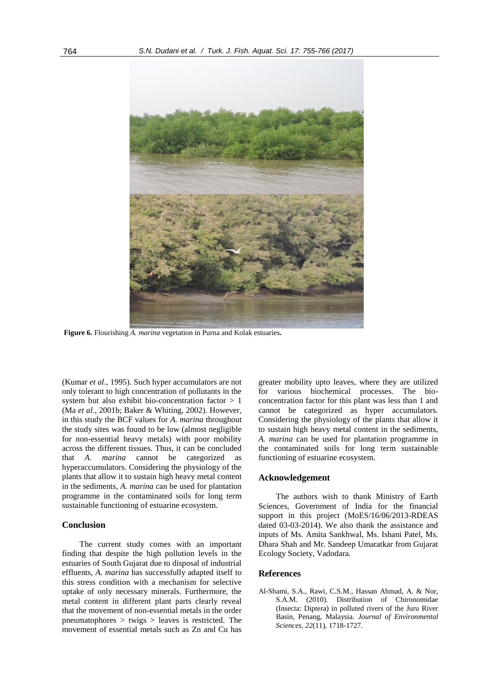

**Figure 6.** Flourishing *A. marina* vegetation in Purna and Kolak estuaries**.**

(Kumar *et al*., 1995). Such hyper accumulators are not only tolerant to high concentration of pollutants in the system but also exhibit bio-concentration factor > 1 (Ma *et al*., 2001b; Baker & Whiting, 2002). However, in this study the BCF values for *A. marina* throughout the study sites was found to be low (almost negligible for non-essential heavy metals) with poor mobility across the different tissues. Thus, it can be concluded that *A. marina* cannot be categorized as hyperaccumulators. Considering the physiology of the plants that allow it to sustain high heavy metal content in the sediments, *A. marina* can be used for plantation programme in the contaminated soils for long term sustainable functioning of estuarine ecosystem.

#### **Conclusion**

The current study comes with an important finding that despite the high pollution levels in the estuaries of South Gujarat due to disposal of industrial effluents, *A. marina* has successfully adapted itself to this stress condition with a mechanism for selective uptake of only necessary minerals. Furthermore, the metal content in different plant parts clearly reveal that the movement of non-essential metals in the order pneumatophores  $>$  twigs  $>$  leaves is restricted. The movement of essential metals such as Zn and Cu has

greater mobility upto leaves, where they are utilized for various biochemical processes. The bioconcentration factor for this plant was less than 1 and cannot be categorized as hyper accumulators. Considering the physiology of the plants that allow it to sustain high heavy metal content in the sediments, *A. marina* can be used for plantation programme in the contaminated soils for long term sustainable functioning of estuarine ecosystem.

# **Acknowledgement**

The authors wish to thank Ministry of Earth Sciences, Government of India for the financial support in this project (MoES/16/06/2013-RDEAS dated 03-03-2014). We also thank the assistance and inputs of Ms. Amita Sankhwal, Ms. Ishani Patel, Ms. Dhara Shah and Mr. Sandeep Umaratkar from Gujarat Ecology Society, Vadodara.

# **References**

Al-Shami, S.A., Rawi, C.S.M., Hassan Ahmad, A. & Nor, S.A.M. (2010). Distribution of Chironomidae (Insecta: Diptera) in polluted rivers of the Juru River Basin, Penang, Malaysia. *Journal of Environmental Sciences*, *22*(11), 1718-1727.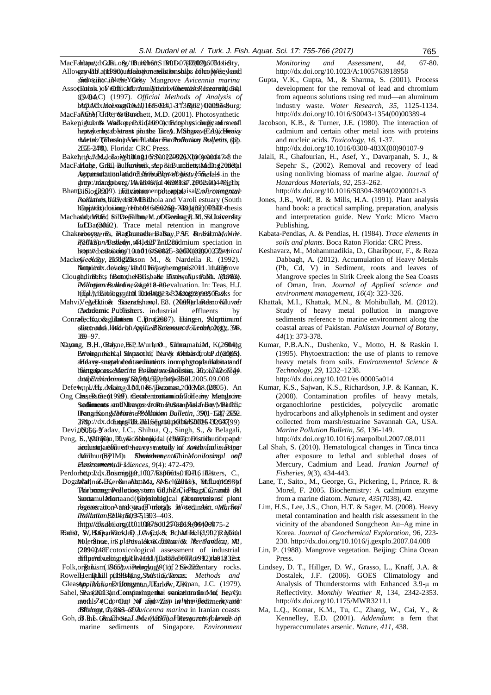- MacFahttpne/dxGdRi.org/1Bur0h6tt,S1MQD07(22002)).60Bdxi&ty, Alloway with and 920) und adaty on a tell stimeships do haop Meley lead!
- aSodnszihlac, iNetweYGrkey Mangrove Avicennia marina Association of Official Analytical Chemists International (Forsk.) Veirh. *Marine Environmental Research*, *54*, (AOAC) (1997). *Official Methods of Analysis of*  65–84. *AOAC International, 16 Ed., 3rd Rev*. Gaithesburg: http://dx.doi.org/10.1016/S0141-1136(02) 00095-8
- MacFaAl@AcCInRernathenmalhett, M.D. (2001). Photosynthetic Bakepigments WadkeperBxtidas90actBaophysiologycaofmetal heatakentestabk**erant plantre liire&.MShgro**w(Ed.)*iceleai*zy Metal Tolerance in Plants: Evolutionary Aspects (pp. *marina* (Forsk.) Veirh. *Marine Pollution Bulletin*, *42*, 21355-2478.). Florida: CRC Press.
- Bakehttp://dxLdo&ory/hiting,16/S00230B26XI00)ea0d147oB the MacFa**rlaine, Grik**il<del>, P</del>ulikortheik, step & iBurolietts tand on g201030al hyperaccumulation? *New Phytologist*, *155*, 1–4. Accumulation and distribution of heavy metals in the grttp://dangroveg/10v1&46/j*a*l46081r37.2002sQ0449<u>ie</u>rh,
- BhattBiSlog2d009). indivintommentalteaupialaisalEnofirmamgnowle *Podtlands, 1233* election Mindhola and Varoli estuary (South http://dak.bdoi.iong/remotel6/S03269.-7430.ja/h2t)0DB4D-thesis
- MachashdynWttEd SilDepärtment oO Geeilogy, N., Sel Iniversity Lof Bar(a02). Trace metal retention in mangrove
- ChakeaboytyterPs, iRaghunnath a Bay, PSE & rafailm Maline. Pallin 2010 Pushlediya, of 4, 1 dal<sup>7</sup> and 280 dmium speciation in httpp://dxe**stainoing/10.11016/S000215-3265X(02**0)00*232Lethical*
- MackeGeeAdgy, *Plodegkinson M., & Nardella R. (1992)*. Nitttpié/dtx.doi/elrg/lahd01lfe/j.vghemgeds201rl .1rh&n2grove
- Cloughdirherits from the Brisbane River, enlustralia. *M19839*. *Pollugion Bulhadine 2424*18-20evaluation. In: Teas, H.J. h(ffpd://dBidologygáh0l. fEd6d6)g)25iBB63X(gh2)9095OFa5Zks for
- Mahvi, VegeHatio& SBaznafshanol. E8. (Mulherlandshowaluwer Cachdeumic Publishers. industrial effluents by
- Conrade, cKo, c& gHanisem C. Bro(2007). Haingen, Soluptionum f zinc and lead on coir. Bioresource Technology, 98, electrodes. *World Applied Sciences Journal*, *2*(1), 34- 399-97.
- Nayamg, D.H., Gralyne, B.P., MurlanO., Sillona, mahiaM, K.(2004). B. Woirg, nKeKtal Sinpacthif Reavy foletals dirohP.dre0ged. al ilda vy-suspeh ded tased nations in mphytoplanktoinat sndf Singapore. *Marine Pollution Bulletin*, 50, 1713-1744. bacteria assessed in in-situ mesocosms. *Ecotoxicology d*nttp://dx.rdainang/150/1e01,659.m349e31691.2005.09.008
- Defewttp://Hz.dofaior.g/l.M1086/jBuzueram.2003M08.020505). An Ong CheseRsfdet(1999). folctadentration in afdolfeavy Manglsoire Sediiments and Mangrove No RuSam Mad a'r Bray, Mai Frig HangrKong*MMirrenePoblitition Bulletin*, *35*01 - 5247 <del>265</del>2. 2http://dx.doh.topg//tbl..tl01.6/jg/11.07101b6/IS200245-131263X7(99)
- Devi, ONO 56-Yadav, I.C., Shihua, Q., Singh, S., & Belagali, Peng, S., Wenhjum, Physic Zhenji, dal (db9ra): teristics ution paper accumulation of theavy senstudy in *Aovidh India Paper* dMiilmunitiPIMin *Enerinzhement Chinadonitoring and Assessment*, 1-11. *Environmental sciences*, *9*(4): 472-479.
- Perdorhttp://dx.Eloismig/get.1007/Ekp66ds,010.H.61Elsters, C.,
- DogaWatlneZ-BKersana&hmMa, & NSchiaetters, Mufluene989af Thir homengrovellutionystum Gtl, th Zn, id Phaga Cu jranude del Sancta mulation ta and (physiological parameteris nsf plont r<del>legenes</del> ration Antakytra (d'urketyl). *Water*lin seint. *and lar Soil Pollution*, 214, 509-513. *Pollution Bulletin*, 37, 393–403.
- http://dx.doi.org/10.1007/s11270-010-0442-9 http://dx.doi.org/10.1016/S0025-326X(99)00075-2 Fradićt, W. H.topanYčerkleij. J. Avyetko, Schatlikelić, 992 Rajčetal Moler**Širac**, inS.plants.aldk#KoBbinani&. *NeeFlantlica, Ml.*, (2090).48Ecotoxicological assessment of industrial http://dx.doi.org/10.1111/j.1438-8677.1992.tb01332.x effluent using duckweed (*Lemna minor* L.) as a test
- Folk, organism. 1*B65toxi Petrogy* ogy (1) f 2 for timentary rocks. RowelHemphill publishing, Soulstin, Texas: Methods and
- GleasopplMulionDrifonsynan, Harlow, Zikman, J.C. (1979). Sahel, Seas@@dl3andComparingental conceitorationMof Fiea Gu metalsZn(Cdontent Noif aSpolarZim)a inalterneiflectiment quantolc dBiferent, *1*7, 3885-30 Avicenna marina in Iranian coasts
- Goh, dB. Phe. *Gentah Sea L. Mternand dha Haas ga metajo levrels afi* marine sediments of Singapore. *Environment*

*Monitoring and Assessment*, *44*, 67-80. http://dx.doi.org/10.1023/A:1005763918958

- Gupta, V.K., Gupta, M., & Sharma, S. (2001). Process development for the removal of lead and chromium from aqueous solutions using red mud—an aluminum industry waste. *Water Research*, *35*, 1125-1134. http://dx.doi.org/10.1016/S0043-1354(00)00389-4
- Jacobson, K.B., & Turner, J.E. (1980). The interaction of cadmium and certain other metal ions with proteins and nucleic acids. *Toxicology*, *16*, 1-37. http://dx.doi.org/10.1016/0300-483X(80)90107-9
- Jalali, R., Ghafourian, H., Asef, Y., Davarpanah, S. J., & Sepehr S., (2002). Removal and recovery of lead using nonliving biomass of marine algae. *Journal of Hazardous Materials*, *92*, 253–262. http://dx.doi.org/10.1016/S0304-3894(02)00021-3
- Jones, J.B., Wolf, B. & Mills, H.A. (1991). Plant analysis hand book: a practical sampling, preparation, analysis and interpretation guide. New York: Micro Macro Publishing.
- Kabata-Pendias, A. & Pendias, H. (1984). *Trace elements in soils and plants*. Boca Raton Florida: CRC Press.
- Keshavarz, M., Mohammadikia, D., Gharibpour, F., & Reza Dabbagh, A. (2012). Accumulation of Heavy Metals (Pb, Cd, V) in Sediment, roots and leaves of Mangrove species in Sirik Creek along the Sea Coasts of Oman, Iran. *Journal of Applied science and environment management*, *16*(4): 323-326.
- Khattak, M.I., Khattak, M.N., & Mohibullah, M. (2012). Study of heavy metal pollution in mangrove sediments reference to marine environment along the coastal areas of Pakistan. *Pakistan Journal of Botany*, *44*(1): 373-378.
- Kumar, P.B.A.N., Dushenko, V., Motto, H. & Raskin I. (1995). Phytoextraction: the use of plants to remove heavy metals from soils. *Environmental Science & Technology*, *29*, 1232–1238. http://dx.doi.org/10.1021/es 00005a014
- Kumar, K.S., Sajwan, K.S., Richardson, J.P. & Kannan, K. (2008). Contamination profiles of heavy metals, organochlorine pesticides, polycyclic aromatic hydrocarbons and alkylphenols in sediment and oyster collected from marsh/estuarine Savannah GA, USA. *Marine Pollution Bulletin*, *56*, 136-149. http://dx.doi.org/10.1016/j.marpolbul.2007.08.011
- Lal Shah, S. (2010). Hematological changes in Tinca tinca after exposure to lethal and sublethal doses of Mercury, Cadmium and Lead. *Iranian Journal of Fisheries*, *9*(3), 434-443.
- Lane, T., Saito., M., George, G., Pickering, I., Prince, R. & Morel, F. 2005. Biochemistry: A cadmium enzyme from a marine diatom. *Nature*, *435*(7038), 42.
- Lim, H.S., Lee, J.S., Chon, H.T. & Sager, M. (2008). Heavy metal contamination and health risk assessment in the vicinity of the abandoned Songcheon Au–Ag mine in Korea. *Journal of Geochemical Exploration*, 96, 223- 230. http://dx.doi.org/10.1016/j.gexplo.2007.04.008
- Lin, P. (1988). Mangrove vegetation. Beijing: China Ocean Press.
- Lindsey, D. T., Hillger, D. W., Grasso, L., Knaff, J.A. & Dostalek, J.F. (2006). GOES Climatology and Analysis of Thunderstorms with Enhanced 3.9-μ m Reflectivity. *Monthly Weather R*, 134, 2342-2353. http://dx.doi.org/10.1175/MWR3211.1
- Ma, L.Q., Komar, K.M., Tu, C., Zhang, W., Cai, Y., & Kennelley, E.D. (2001). *Addendum*: a fern that hyperaccumulates arsenic. *Nature*, *411*, 438.